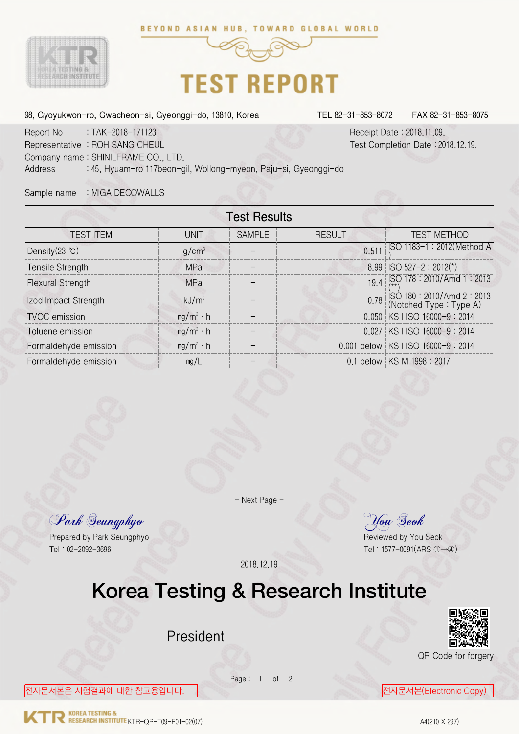



## **TEST REPORT**

98, Gyoyukwon-ro, Gwacheon-si, Gyeonggi-do, 13810, Korea TEL 82-31-853-8072 FAX 82-31-853-8075

Report No : TAK-2018-171123 Receipt Date : 2018.11.09. Representative : ROH SANG CHEUL Test Completion Date : 2018.12.19. Company name : SHINILFRAME CO., LTD. Address : 45, Hyuam-ro 117beon-gil, Wollong-myeon, Paju-si, Gyeonggi-do

Sample name : MIGA DECOWALLS

| <b>TEST ITEM</b>                         | <b>UNIT</b>       | <b>SAMPLE</b> | <b>RESULT</b> | <b>TEST METHOD</b>                                                 |
|------------------------------------------|-------------------|---------------|---------------|--------------------------------------------------------------------|
| Density $(23 \text{ } ^{\circ}\text{C})$ | $g/cm^3$          |               |               | 0.511 SO 1183-1 : 2012 (Method A                                   |
| Tensile Strength                         | <b>MPa</b>        |               |               | $8.99$ ISO 527-2 : 2012(*)                                         |
| <b>Flexural Strength</b>                 | <b>MPa</b>        |               |               | 19.4 SO 178 : 2010/Amd 1 : 2013                                    |
| Izod Impact Strength                     | kJ/m <sup>2</sup> |               |               | 0.78 $\vert$ SO 180 : 2010/Amd 2 : 2013<br>(Notched Type : Type A) |
| <b>TVOC</b> emission                     | $mg/m^2 \cdot h$  |               |               | 0.050 KS I ISO 16000-9:2014                                        |
| Toluene emission                         | $mg/m^2 \cdot h$  |               |               | 0.027 KS I ISO 16000-9: 2014                                       |
| Formaldehyde emission                    | $mg/m^2 \cdot h$  |               |               | 0.001 below   KS I ISO 16000-9 : 2014                              |
| Formaldehyde emission                    | mg/L              |               |               | 0.1 below   KS M 1998 : 2017                                       |

Park Seungphyo You Seok

Prepared by Park Seungphyo Reviewed by You Seok Tel : 02-2092-3696 Tel : 1577-0091(ARS ①→④)

- Next Page -

2018.12.19

## Korea Testing & Research Institute

Page: 1 of 2

President



QR Code for forgery

<mark>전자문서본은 시험결과에 대한 참고용입니다. </mark> <mark>전자문서본(Electronic Copy)</mark>